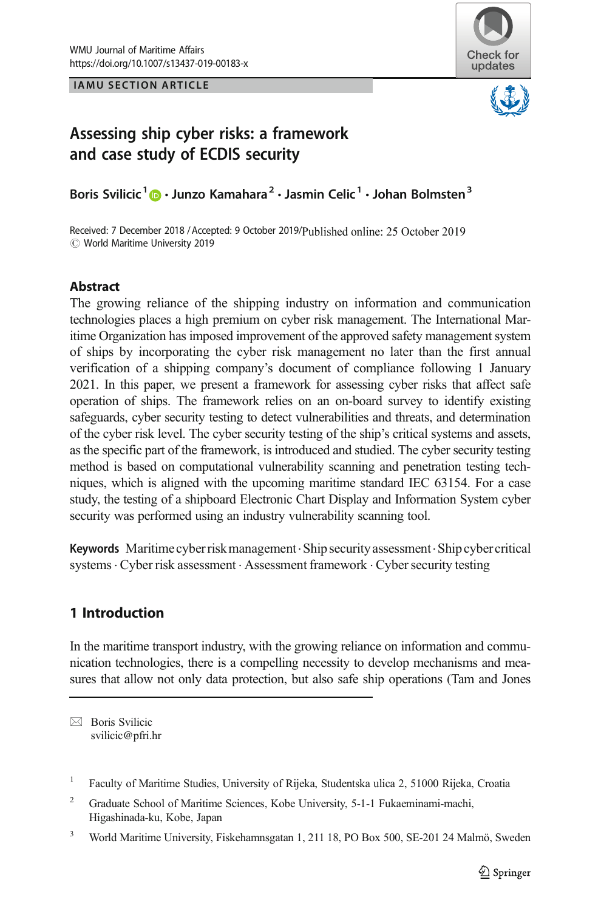IAMU SECTION ARTICLE





# Assessing ship cyber risks: a framework and case study of ECDIS security

Boris Svilicic<sup>1</sup>  $\cdot$  Junzo Kamahara<sup>2</sup> · Jasmin Celic<sup>1</sup> · Johan Bolmsten<sup>3</sup>

Received: 7 December 2018 / Accepted: 9 October 2019/Published online: 25 October 2019  $\odot$  World Maritime University 2019

### Abstract

The growing reliance of the shipping industry on information and communication technologies places a high premium on cyber risk management. The International Maritime Organization has imposed improvement of the approved safety management system of ships by incorporating the cyber risk management no later than the first annual verification of a shipping company's document of compliance following 1 January 2021. In this paper, we present a framework for assessing cyber risks that affect safe operation of ships. The framework relies on an on-board survey to identify existing safeguards, cyber security testing to detect vulnerabilities and threats, and determination of the cyber risk level. The cyber security testing of the ship's critical systems and assets, as the specific part of the framework, is introduced and studied. The cyber security testing method is based on computational vulnerability scanning and penetration testing techniques, which is aligned with the upcoming maritime standard IEC 63154. For a case study, the testing of a shipboard Electronic Chart Display and Information System cyber security was performed using an industry vulnerability scanning tool.

Keywords Maritime cyber risk management · Ship security assessment · Ship cyber critical systems. Cyber risk assessment . Assessment framework . Cyber security testing

### 1 Introduction

In the maritime transport industry, with the growing reliance on information and communication technologies, there is a compelling necessity to develop mechanisms and measures that allow not only data protection, but also safe ship operations (Tam and Jones

 $\boxtimes$  Boris Svilicic [svilicic@pfri.hr](mailto:svilicic@pfri.hr)

<sup>&</sup>lt;sup>1</sup> Faculty of Maritime Studies, University of Rijeka, Studentska ulica 2, 51000 Rijeka, Croatia

<sup>&</sup>lt;sup>2</sup> Graduate School of Maritime Sciences, Kobe University, 5-1-1 Fukaeminami-machi, Higashinada-ku, Kobe, Japan

<sup>&</sup>lt;sup>3</sup> World Maritime University, Fiskehamnsgatan 1, 211 18, PO Box 500, SE-201 24 Malmö, Sweden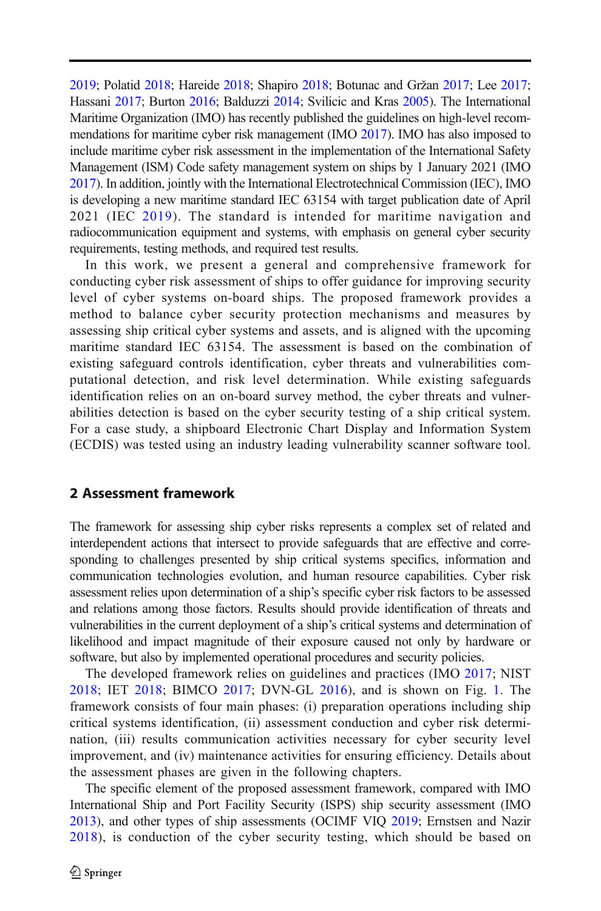[2019](#page-11-0); Polatid [2018;](#page-11-0) Hareide [2018;](#page-10-0) Shapiro [2018](#page-11-0); Botunac and Gržan [2017](#page-10-0); Lee [2017;](#page-11-0) Hassani [2017](#page-10-0); Burton [2016;](#page-10-0) Balduzzi [2014](#page-10-0); Svilicic and Kras [2005\)](#page-11-0). The International Maritime Organization (IMO) has recently published the guidelines on high-level recommendations for maritime cyber risk management (IMO [2017](#page-11-0)). IMO has also imposed to include maritime cyber risk assessment in the implementation of the International Safety Management (ISM) Code safety management system on ships by 1 January 2021 (IMO [2017](#page-11-0)). In addition, jointly with the International Electrotechnical Commission (IEC), IMO is developing a new maritime standard IEC 63154 with target publication date of April 2021 (IEC [2019](#page-10-0)). The standard is intended for maritime navigation and radiocommunication equipment and systems, with emphasis on general cyber security requirements, testing methods, and required test results.

In this work, we present a general and comprehensive framework for conducting cyber risk assessment of ships to offer guidance for improving security level of cyber systems on-board ships. The proposed framework provides a method to balance cyber security protection mechanisms and measures by assessing ship critical cyber systems and assets, and is aligned with the upcoming maritime standard IEC 63154. The assessment is based on the combination of existing safeguard controls identification, cyber threats and vulnerabilities computational detection, and risk level determination. While existing safeguards identification relies on an on-board survey method, the cyber threats and vulnerabilities detection is based on the cyber security testing of a ship critical system. For a case study, a shipboard Electronic Chart Display and Information System (ECDIS) was tested using an industry leading vulnerability scanner software tool.

### 2 Assessment framework

The framework for assessing ship cyber risks represents a complex set of related and interdependent actions that intersect to provide safeguards that are effective and corresponding to challenges presented by ship critical systems specifics, information and communication technologies evolution, and human resource capabilities. Cyber risk assessment relies upon determination of a ship's specific cyber risk factors to be assessed and relations among those factors. Results should provide identification of threats and vulnerabilities in the current deployment of a ship's critical systems and determination of likelihood and impact magnitude of their exposure caused not only by hardware or software, but also by implemented operational procedures and security policies.

The developed framework relies on guidelines and practices (IMO [2017](#page-11-0); NIST [2018](#page-11-0); IET [2018;](#page-10-0) BIMCO [2017;](#page-10-0) DVN-GL [2016](#page-10-0)), and is shown on Fig. [1.](#page-2-0) The framework consists of four main phases: (i) preparation operations including ship critical systems identification, (ii) assessment conduction and cyber risk determination, (iii) results communication activities necessary for cyber security level improvement, and (iv) maintenance activities for ensuring efficiency. Details about the assessment phases are given in the following chapters.

The specific element of the proposed assessment framework, compared with IMO International Ship and Port Facility Security (ISPS) ship security assessment (IMO [2013\)](#page-11-0), and other types of ship assessments (OCIMF VIQ [2019;](#page-11-0) Ernstsen and Nazir [2018\)](#page-10-0), is conduction of the cyber security testing, which should be based on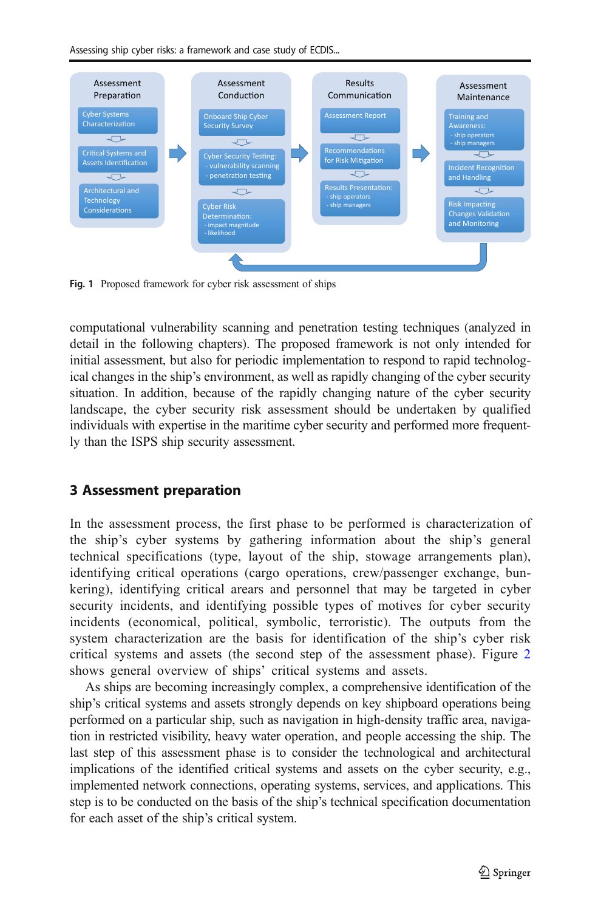<span id="page-2-0"></span>Assessing ship cyber risks: a framework and case study of ECDIS...



Fig. 1 Proposed framework for cyber risk assessment of ships

computational vulnerability scanning and penetration testing techniques (analyzed in detail in the following chapters). The proposed framework is not only intended for initial assessment, but also for periodic implementation to respond to rapid technological changes in the ship's environment, as well as rapidly changing of the cyber security situation. In addition, because of the rapidly changing nature of the cyber security landscape, the cyber security risk assessment should be undertaken by qualified individuals with expertise in the maritime cyber security and performed more frequently than the ISPS ship security assessment.

### 3 Assessment preparation

In the assessment process, the first phase to be performed is characterization of the ship's cyber systems by gathering information about the ship's general technical specifications (type, layout of the ship, stowage arrangements plan), identifying critical operations (cargo operations, crew/passenger exchange, bunkering), identifying critical arears and personnel that may be targeted in cyber security incidents, and identifying possible types of motives for cyber security incidents (economical, political, symbolic, terroristic). The outputs from the system characterization are the basis for identification of the ship's cyber risk critical systems and assets (the second step of the assessment phase). Figure [2](#page-3-0) shows general overview of ships' critical systems and assets.

As ships are becoming increasingly complex, a comprehensive identification of the ship's critical systems and assets strongly depends on key shipboard operations being performed on a particular ship, such as navigation in high-density traffic area, navigation in restricted visibility, heavy water operation, and people accessing the ship. The last step of this assessment phase is to consider the technological and architectural implications of the identified critical systems and assets on the cyber security, e.g., implemented network connections, operating systems, services, and applications. This step is to be conducted on the basis of the ship's technical specification documentation for each asset of the ship's critical system.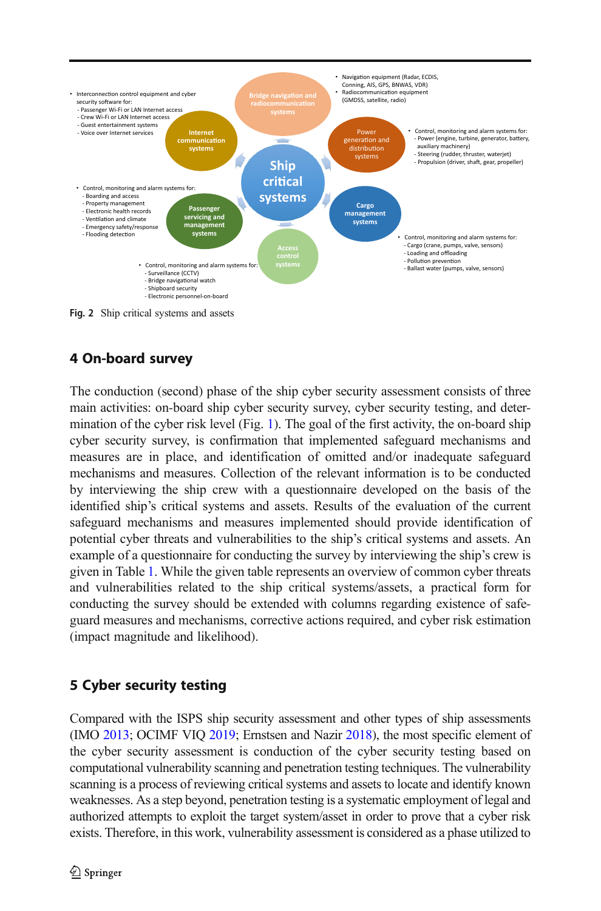<span id="page-3-0"></span>

Fig. 2 Ship critical systems and assets

## 4 On-board survey

The conduction (second) phase of the ship cyber security assessment consists of three main activities: on-board ship cyber security survey, cyber security testing, and determination of the cyber risk level (Fig. [1](#page-2-0)). The goal of the first activity, the on-board ship cyber security survey, is confirmation that implemented safeguard mechanisms and measures are in place, and identification of omitted and/or inadequate safeguard mechanisms and measures. Collection of the relevant information is to be conducted by interviewing the ship crew with a questionnaire developed on the basis of the identified ship's critical systems and assets. Results of the evaluation of the current safeguard mechanisms and measures implemented should provide identification of potential cyber threats and vulnerabilities to the ship's critical systems and assets. An example of a questionnaire for conducting the survey by interviewing the ship's crew is given in Table [1.](#page-4-0) While the given table represents an overview of common cyber threats and vulnerabilities related to the ship critical systems/assets, a practical form for conducting the survey should be extended with columns regarding existence of safeguard measures and mechanisms, corrective actions required, and cyber risk estimation (impact magnitude and likelihood).

### 5 Cyber security testing

Compared with the ISPS ship security assessment and other types of ship assessments (IMO [2013;](#page-11-0) OCIMF VIQ [2019](#page-11-0); Ernstsen and Nazir [2018](#page-10-0)), the most specific element of the cyber security assessment is conduction of the cyber security testing based on computational vulnerability scanning and penetration testing techniques. The vulnerability scanning is a process of reviewing critical systems and assets to locate and identify known weaknesses. As a step beyond, penetration testing is a systematic employment of legal and authorized attempts to exploit the target system/asset in order to prove that a cyber risk exists. Therefore, in this work, vulnerability assessment is considered as a phase utilized to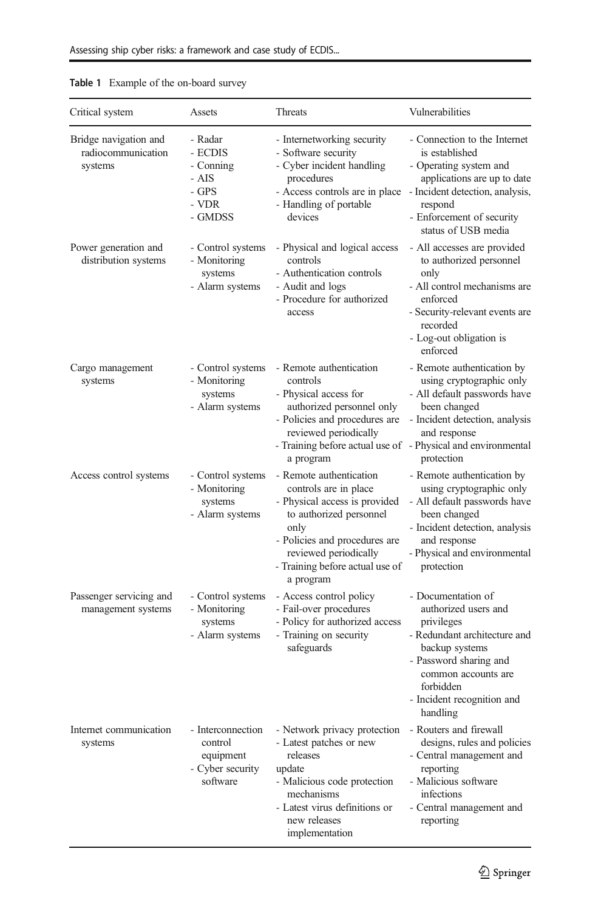| Critical system                                        | Assets                                                                    | Threats                                                                                                                                                                                                                          | Vulnerabilities                                                                                                                                                                                                    |
|--------------------------------------------------------|---------------------------------------------------------------------------|----------------------------------------------------------------------------------------------------------------------------------------------------------------------------------------------------------------------------------|--------------------------------------------------------------------------------------------------------------------------------------------------------------------------------------------------------------------|
| Bridge navigation and<br>radiocommunication<br>systems | - Radar<br>- ECDIS<br>- Conning<br>- AIS<br>- GPS<br>- VDR<br>- GMDSS     | - Internetworking security<br>- Software security<br>- Cyber incident handling<br>procedures<br>- Access controls are in place<br>- Handling of portable<br>devices                                                              | - Connection to the Internet<br>is established<br>- Operating system and<br>applications are up to date<br>- Incident detection, analysis,<br>respond<br>- Enforcement of security<br>status of USB media          |
| Power generation and<br>distribution systems           | - Control systems<br>- Monitoring<br>systems<br>- Alarm systems           | - Physical and logical access<br>controls<br>- Authentication controls<br>- Audit and logs<br>- Procedure for authorized<br>access                                                                                               | - All accesses are provided<br>to authorized personnel<br>only<br>- All control mechanisms are<br>enforced<br>- Security-relevant events are<br>recorded<br>- Log-out obligation is<br>enforced                    |
| Cargo management<br>systems                            | - Control systems<br>- Monitoring<br>systems<br>- Alarm systems           | - Remote authentication<br>controls<br>- Physical access for<br>authorized personnel only<br>- Policies and procedures are<br>reviewed periodically<br>- Training before actual use of - Physical and environmental<br>a program | - Remote authentication by<br>using cryptographic only<br>- All default passwords have<br>been changed<br>- Incident detection, analysis<br>and response<br>protection                                             |
| Access control systems                                 | - Control systems<br>- Monitoring<br>systems<br>- Alarm systems           | - Remote authentication<br>controls are in place<br>- Physical access is provided<br>to authorized personnel<br>only<br>- Policies and procedures are<br>reviewed periodically<br>- Training before actual use of<br>a program   | - Remote authentication by<br>using cryptographic only<br>- All default passwords have<br>been changed<br>- Incident detection, analysis<br>and response<br>- Physical and environmental<br>protection             |
| Passenger servicing and<br>management systems          | - Control systems<br>- Monitoring<br>systems<br>- Alarm systems           | - Access control policy<br>- Fail-over procedures<br>- Policy for authorized access<br>- Training on security<br>safeguards                                                                                                      | - Documentation of<br>authorized users and<br>privileges<br>- Redundant architecture and<br>backup systems<br>- Password sharing and<br>common accounts are<br>forbidden<br>- Incident recognition and<br>handling |
| Internet communication<br>systems                      | - Interconnection<br>control<br>equipment<br>- Cyber security<br>software | - Network privacy protection<br>- Latest patches or new<br>releases<br>update<br>- Malicious code protection<br>mechanisms<br>- Latest virus definitions or<br>new releases<br>implementation                                    | - Routers and firewall<br>designs, rules and policies<br>- Central management and<br>reporting<br>- Malicious software<br>infections<br>- Central management and<br>reporting                                      |

<span id="page-4-0"></span>

|  |  | <b>Table 1</b> Example of the on-board survey |
|--|--|-----------------------------------------------|
|--|--|-----------------------------------------------|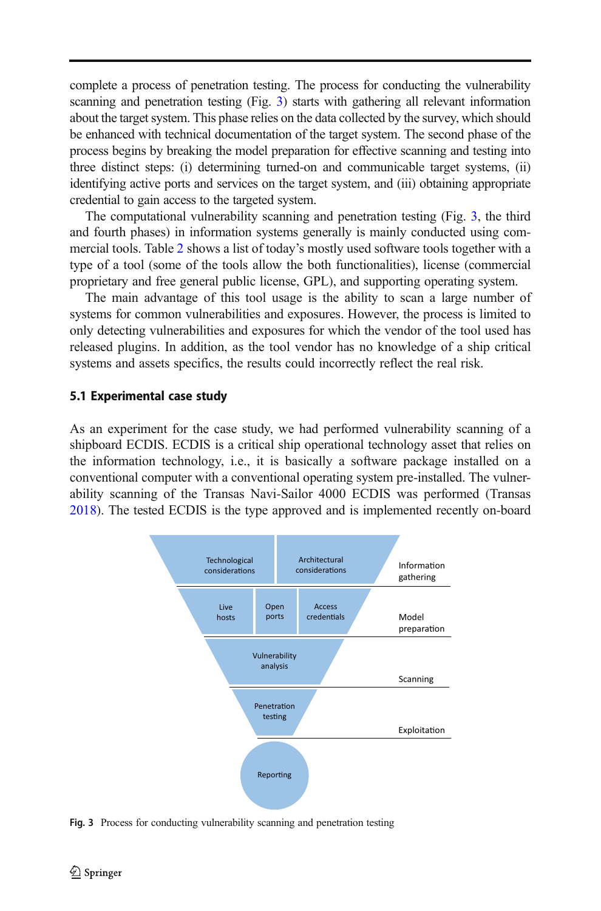complete a process of penetration testing. The process for conducting the vulnerability scanning and penetration testing (Fig. 3) starts with gathering all relevant information about the target system. This phase relies on the data collected by the survey, which should be enhanced with technical documentation of the target system. The second phase of the process begins by breaking the model preparation for effective scanning and testing into three distinct steps: (i) determining turned-on and communicable target systems, (ii) identifying active ports and services on the target system, and (iii) obtaining appropriate credential to gain access to the targeted system.

The computational vulnerability scanning and penetration testing (Fig. 3, the third and fourth phases) in information systems generally is mainly conducted using commercial tools. Table [2](#page-6-0) shows a list of today's mostly used software tools together with a type of a tool (some of the tools allow the both functionalities), license (commercial proprietary and free general public license, GPL), and supporting operating system.

The main advantage of this tool usage is the ability to scan a large number of systems for common vulnerabilities and exposures. However, the process is limited to only detecting vulnerabilities and exposures for which the vendor of the tool used has released plugins. In addition, as the tool vendor has no knowledge of a ship critical systems and assets specifics, the results could incorrectly reflect the real risk.

### 5.1 Experimental case study

As an experiment for the case study, we had performed vulnerability scanning of a shipboard ECDIS. ECDIS is a critical ship operational technology asset that relies on the information technology, i.e., it is basically a software package installed on a conventional computer with a conventional operating system pre-installed. The vulnerability scanning of the Transas Navi-Sailor 4000 ECDIS was performed (Transas [2018\)](#page-11-0). The tested ECDIS is the type approved and is implemented recently on-board



Fig. 3 Process for conducting vulnerability scanning and penetration testing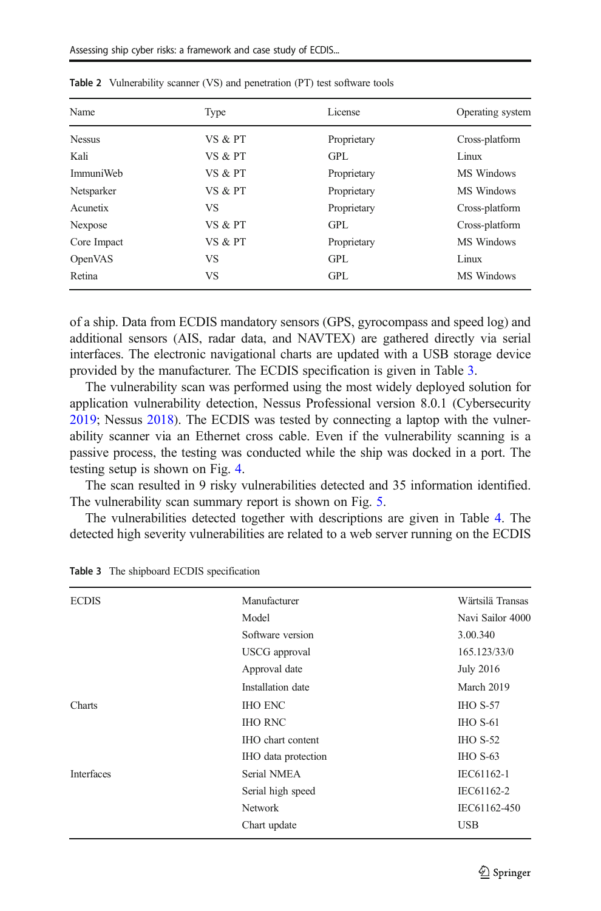| Name             | Type    | License     | Operating system |
|------------------|---------|-------------|------------------|
| <b>Nessus</b>    | VS & PT | Proprietary | Cross-platform   |
| Kali             | VS & PT | <b>GPL</b>  | Linux            |
| <b>ImmuniWeb</b> | VS & PT | Proprietary | MS Windows       |
| Netsparker       | VS & PT | Proprietary | MS Windows       |
| Acunetix         | VS      | Proprietary | Cross-platform   |
| Nexpose          | VS & PT | GPL.        | Cross-platform   |
| Core Impact      | VS & PT | Proprietary | MS Windows       |
| OpenVAS          | VS      | GPL.        | Linux            |
| Retina           | VS      | <b>GPL</b>  | MS Windows       |

<span id="page-6-0"></span>Table 2 Vulnerability scanner (VS) and penetration (PT) test software tools

of a ship. Data from ECDIS mandatory sensors (GPS, gyrocompass and speed log) and additional sensors (AIS, radar data, and NAVTEX) are gathered directly via serial interfaces. The electronic navigational charts are updated with a USB storage device provided by the manufacturer. The ECDIS specification is given in Table 3.

The vulnerability scan was performed using the most widely deployed solution for application vulnerability detection, Nessus Professional version 8.0.1 (Cybersecurity [2019;](#page-10-0) Nessus [2018](#page-11-0)). The ECDIS was tested by connecting a laptop with the vulnerability scanner via an Ethernet cross cable. Even if the vulnerability scanning is a passive process, the testing was conducted while the ship was docked in a port. The testing setup is shown on Fig. [4.](#page-7-0)

The scan resulted in 9 risky vulnerabilities detected and 35 information identified. The vulnerability scan summary report is shown on Fig. [5](#page-7-0).

The vulnerabilities detected together with descriptions are given in Table [4.](#page-8-0) The detected high severity vulnerabilities are related to a web server running on the ECDIS

| <b>ECDIS</b>      | Manufacturer             | Wärtsilä Transas |  |
|-------------------|--------------------------|------------------|--|
|                   | Model                    | Navi Sailor 4000 |  |
|                   | Software version         | 3.00.340         |  |
|                   | USCG approval            | 165.123/33/0     |  |
|                   | Approval date            | <b>July 2016</b> |  |
|                   | Installation date        | March 2019       |  |
| Charts            | <b>IHO ENC</b>           | $IHO S-57$       |  |
|                   | <b>IHO RNC</b>           | $IHO S-61$       |  |
|                   | <b>IHO</b> chart content | $IHO S-52$       |  |
|                   | IHO data protection      | $IHO S-63$       |  |
| <b>Interfaces</b> | Serial NMEA              | IEC61162-1       |  |
|                   | Serial high speed        | IEC61162-2       |  |
|                   | <b>Network</b>           | IEC61162-450     |  |
|                   | Chart update             | <b>USB</b>       |  |

Table 3 The shipboard ECDIS specification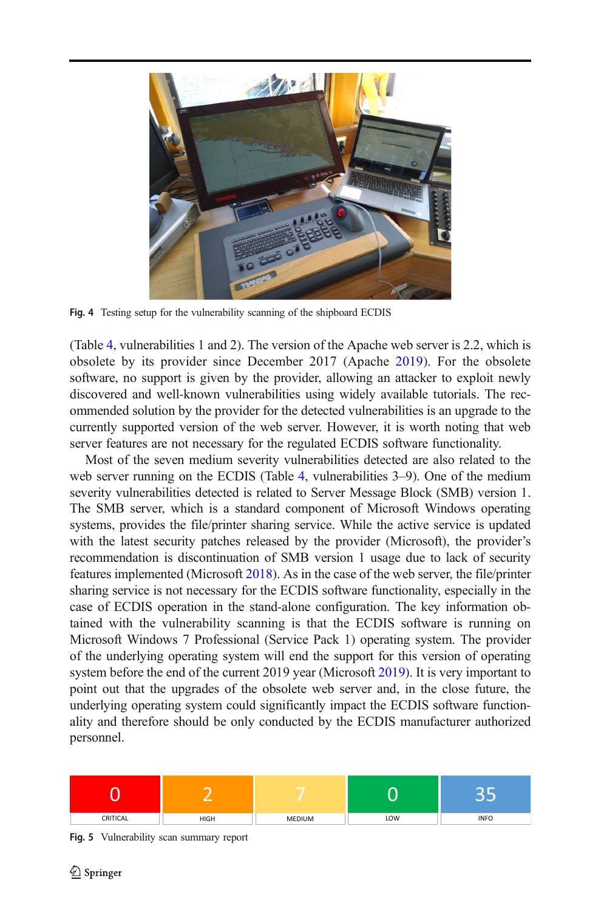<span id="page-7-0"></span>

Fig. 4 Testing setup for the vulnerability scanning of the shipboard ECDIS

(Table [4,](#page-8-0) vulnerabilities 1 and 2). The version of the Apache web server is 2.2, which is obsolete by its provider since December 2017 (Apache [2019\)](#page-11-0). For the obsolete software, no support is given by the provider, allowing an attacker to exploit newly discovered and well-known vulnerabilities using widely available tutorials. The recommended solution by the provider for the detected vulnerabilities is an upgrade to the currently supported version of the web server. However, it is worth noting that web server features are not necessary for the regulated ECDIS software functionality.

Most of the seven medium severity vulnerabilities detected are also related to the web server running on the ECDIS (Table [4](#page-8-0), vulnerabilities 3–9). One of the medium severity vulnerabilities detected is related to Server Message Block (SMB) version 1. The SMB server, which is a standard component of Microsoft Windows operating systems, provides the file/printer sharing service. While the active service is updated with the latest security patches released by the provider (Microsoft), the provider's recommendation is discontinuation of SMB version 1 usage due to lack of security features implemented (Microsoft [2018](#page-11-0)). As in the case of the web server, the file/printer sharing service is not necessary for the ECDIS software functionality, especially in the case of ECDIS operation in the stand-alone configuration. The key information obtained with the vulnerability scanning is that the ECDIS software is running on Microsoft Windows 7 Professional (Service Pack 1) operating system. The provider of the underlying operating system will end the support for this version of operating system before the end of the current 2019 year (Microsoft [2019](#page-11-0)). It is very important to point out that the upgrades of the obsolete web server and, in the close future, the underlying operating system could significantly impact the ECDIS software functionality and therefore should be only conducted by the ECDIS manufacturer authorized personnel.



Fig. 5 Vulnerability scan summary report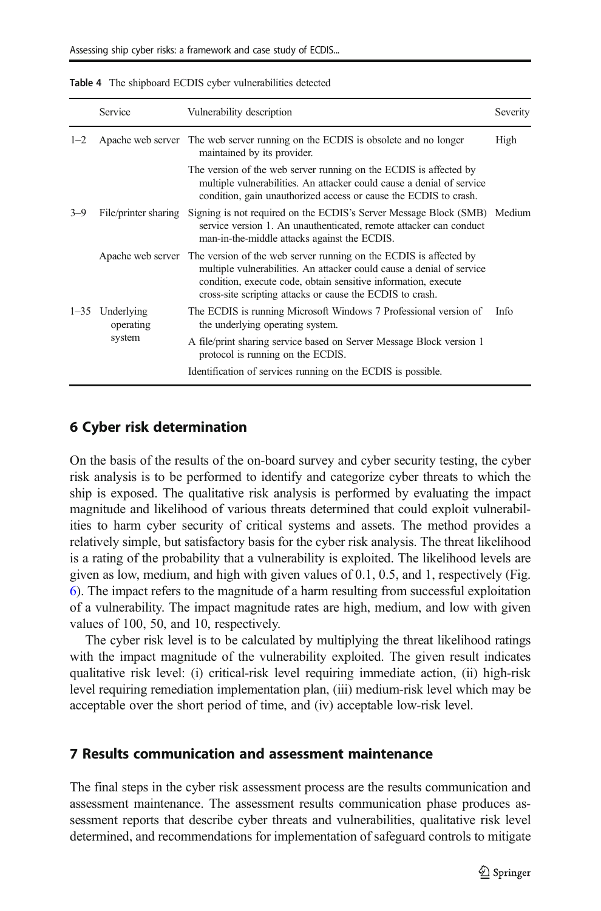|          | Service                           | Vulnerability description                                                                                                                                                                                                                                                                   | Severity |
|----------|-----------------------------------|---------------------------------------------------------------------------------------------------------------------------------------------------------------------------------------------------------------------------------------------------------------------------------------------|----------|
| $1 - 2$  |                                   | Apache web server The web server running on the ECDIS is obsolete and no longer<br>maintained by its provider.                                                                                                                                                                              |          |
|          |                                   | The version of the web server running on the ECDIS is affected by<br>multiple vulnerabilities. An attacker could cause a denial of service<br>condition, gain unauthorized access or cause the ECDIS to crash.                                                                              |          |
| $3 - 9$  | File/printer sharing              | Signing is not required on the ECDIS's Server Message Block (SMB) Medium<br>service version 1. An unauthenticated, remote attacker can conduct<br>man-in-the-middle attacks against the ECDIS.                                                                                              |          |
|          |                                   | Apache web server The version of the web server running on the ECDIS is affected by<br>multiple vulnerabilities. An attacker could cause a denial of service<br>condition, execute code, obtain sensitive information, execute<br>cross-site scripting attacks or cause the ECDIS to crash. |          |
| $1 - 35$ | Underlying<br>operating<br>system | The ECDIS is running Microsoft Windows 7 Professional version of<br>the underlying operating system.                                                                                                                                                                                        | Info     |
|          |                                   | A file/print sharing service based on Server Message Block version 1<br>protocol is running on the ECDIS.                                                                                                                                                                                   |          |
|          |                                   | Identification of services running on the ECDIS is possible.                                                                                                                                                                                                                                |          |

<span id="page-8-0"></span>Table 4 The shipboard ECDIS cyber vulnerabilities detected

#### 6 Cyber risk determination

On the basis of the results of the on-board survey and cyber security testing, the cyber risk analysis is to be performed to identify and categorize cyber threats to which the ship is exposed. The qualitative risk analysis is performed by evaluating the impact magnitude and likelihood of various threats determined that could exploit vulnerabilities to harm cyber security of critical systems and assets. The method provides a relatively simple, but satisfactory basis for the cyber risk analysis. The threat likelihood is a rating of the probability that a vulnerability is exploited. The likelihood levels are given as low, medium, and high with given values of 0.1, 0.5, and 1, respectively (Fig. [6\)](#page-9-0). The impact refers to the magnitude of a harm resulting from successful exploitation of a vulnerability. The impact magnitude rates are high, medium, and low with given values of 100, 50, and 10, respectively.

The cyber risk level is to be calculated by multiplying the threat likelihood ratings with the impact magnitude of the vulnerability exploited. The given result indicates qualitative risk level: (i) critical-risk level requiring immediate action, (ii) high-risk level requiring remediation implementation plan, (iii) medium-risk level which may be acceptable over the short period of time, and (iv) acceptable low-risk level.

### 7 Results communication and assessment maintenance

The final steps in the cyber risk assessment process are the results communication and assessment maintenance. The assessment results communication phase produces assessment reports that describe cyber threats and vulnerabilities, qualitative risk level determined, and recommendations for implementation of safeguard controls to mitigate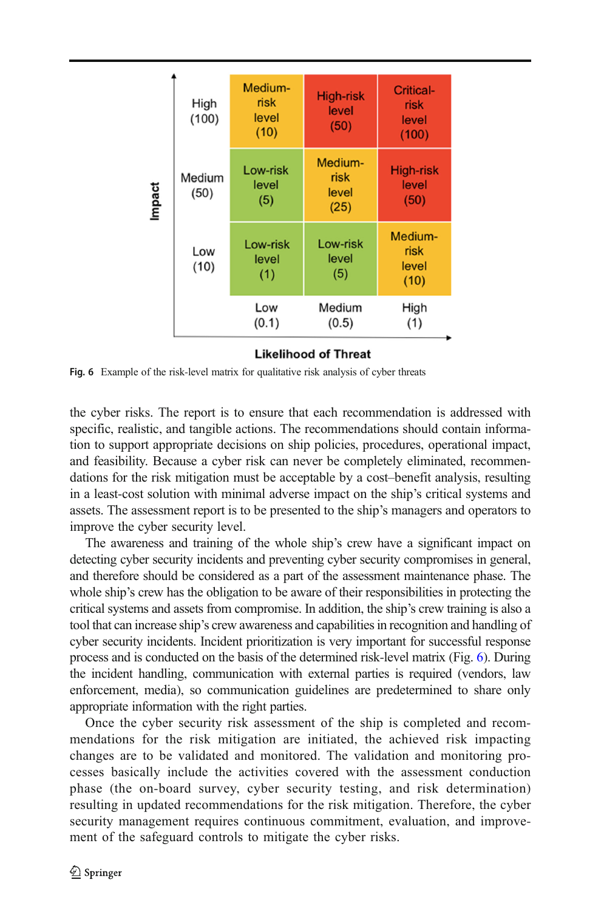<span id="page-9-0"></span>

**Likelihood of Threat** 

Fig. 6 Example of the risk-level matrix for qualitative risk analysis of cyber threats

the cyber risks. The report is to ensure that each recommendation is addressed with specific, realistic, and tangible actions. The recommendations should contain information to support appropriate decisions on ship policies, procedures, operational impact, and feasibility. Because a cyber risk can never be completely eliminated, recommendations for the risk mitigation must be acceptable by a cost–benefit analysis, resulting in a least-cost solution with minimal adverse impact on the ship's critical systems and assets. The assessment report is to be presented to the ship's managers and operators to improve the cyber security level.

The awareness and training of the whole ship's crew have a significant impact on detecting cyber security incidents and preventing cyber security compromises in general, and therefore should be considered as a part of the assessment maintenance phase. The whole ship's crew has the obligation to be aware of their responsibilities in protecting the critical systems and assets from compromise. In addition, the ship's crew training is also a tool that can increase ship's crew awareness and capabilities in recognition and handling of cyber security incidents. Incident prioritization is very important for successful response process and is conducted on the basis of the determined risk-level matrix (Fig. 6). During the incident handling, communication with external parties is required (vendors, law enforcement, media), so communication guidelines are predetermined to share only appropriate information with the right parties.

Once the cyber security risk assessment of the ship is completed and recommendations for the risk mitigation are initiated, the achieved risk impacting changes are to be validated and monitored. The validation and monitoring processes basically include the activities covered with the assessment conduction phase (the on-board survey, cyber security testing, and risk determination) resulting in updated recommendations for the risk mitigation. Therefore, the cyber security management requires continuous commitment, evaluation, and improvement of the safeguard controls to mitigate the cyber risks.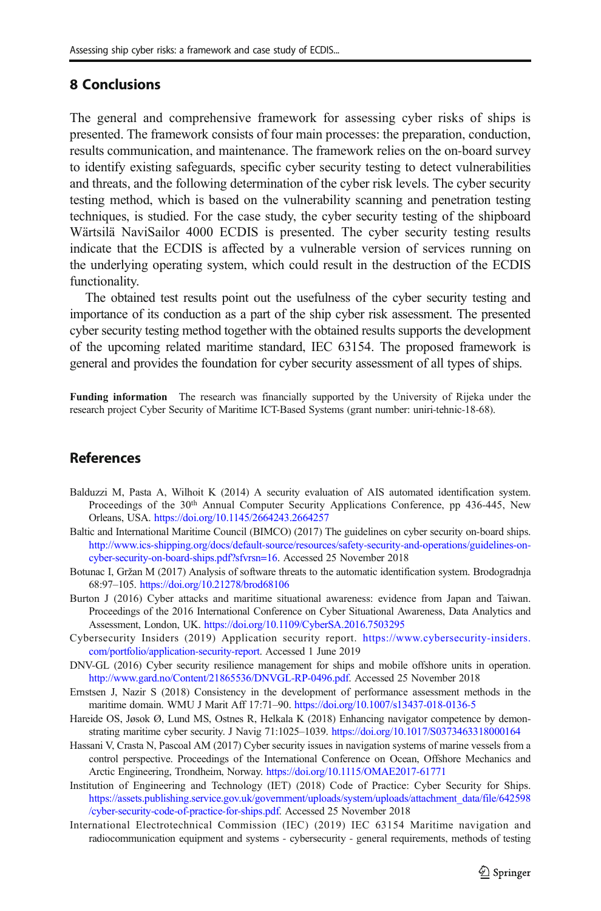### <span id="page-10-0"></span>8 Conclusions

The general and comprehensive framework for assessing cyber risks of ships is presented. The framework consists of four main processes: the preparation, conduction, results communication, and maintenance. The framework relies on the on-board survey to identify existing safeguards, specific cyber security testing to detect vulnerabilities and threats, and the following determination of the cyber risk levels. The cyber security testing method, which is based on the vulnerability scanning and penetration testing techniques, is studied. For the case study, the cyber security testing of the shipboard Wärtsilä NaviSailor 4000 ECDIS is presented. The cyber security testing results indicate that the ECDIS is affected by a vulnerable version of services running on the underlying operating system, which could result in the destruction of the ECDIS functionality.

The obtained test results point out the usefulness of the cyber security testing and importance of its conduction as a part of the ship cyber risk assessment. The presented cyber security testing method together with the obtained results supports the development of the upcoming related maritime standard, IEC 63154. The proposed framework is general and provides the foundation for cyber security assessment of all types of ships.

Funding information The research was financially supported by the University of Rijeka under the research project Cyber Security of Maritime ICT-Based Systems (grant number: uniri-tehnic-18-68).

#### References

- Balduzzi M, Pasta A, Wilhoit K (2014) A security evaluation of AIS automated identification system. Proceedings of the 30<sup>th</sup> Annual Computer Security Applications Conference, pp 436-445, New Orleans, USA. <https://doi.org/10.1145/2664243.2664257>
- Baltic and International Maritime Council (BIMCO) (2017) The guidelines on cyber security on-board ships. [http://www.ics-shipping.org/docs/default-source/resources/safety-security-and-operations/guidelines-on](http://www.ics-shipping.org/docs/default-source/resources/safety-security-and-operations/guidelines-on-cyber-security-onboard-ships.pdf?sfvrsn=16)[cyber-security-on-board-ships.pdf?sfvrsn=16.](http://www.ics-shipping.org/docs/default-source/resources/safety-security-and-operations/guidelines-on-cyber-security-onboard-ships.pdf?sfvrsn=16) Accessed 25 November 2018
- Botunac I, Gržan M (2017) Analysis of software threats to the automatic identification system. Brodogradnja 68:97–105. <https://doi.org/10.21278/brod68106>
- Burton J (2016) Cyber attacks and maritime situational awareness: evidence from Japan and Taiwan. Proceedings of the 2016 International Conference on Cyber Situational Awareness, Data Analytics and Assessment, London, UK. <https://doi.org/10.1109/CyberSA.2016.7503295>
- Cybersecurity Insiders (2019) Application security report. [https://www.cybersecurity-insiders.](https://www.cybersecurity-insiders.com/portfolio/application-security-report) [com/portfolio/application-security-report.](https://www.cybersecurity-insiders.com/portfolio/application-security-report) Accessed 1 June 2019
- DNV-GL (2016) Cyber security resilience management for ships and mobile offshore units in operation. <http://www.gard.no/Content/21865536/DNVGL-RP-0496.pdf>. Accessed 25 November 2018
- Ernstsen J, Nazir S (2018) Consistency in the development of performance assessment methods in the maritime domain. WMU J Marit Aff 17:71–90. <https://doi.org/10.1007/s13437-018-0136-5>
- Hareide OS, Jøsok Ø, Lund MS, Ostnes R, Helkala K (2018) Enhancing navigator competence by demonstrating maritime cyber security. J Navig 71:1025–1039. <https://doi.org/10.1017/S0373463318000164>
- Hassani V, Crasta N, Pascoal AM (2017) Cyber security issues in navigation systems of marine vessels from a control perspective. Proceedings of the International Conference on Ocean, Offshore Mechanics and Arctic Engineering, Trondheim, Norway. <https://doi.org/10.1115/OMAE2017-61771>
- Institution of Engineering and Technology (IET) (2018) Code of Practice: Cyber Security for Ships. [https://assets.publishing.service.gov.uk/government/uploads/system/uploads/attachment\\_data/file/642598](https://assets.publishing.service.gov.uk/government/uploads/system/uploads/attachment_data/file/642598/cyber-security-code-of-practice-for-ships.pdf) [/cyber-security-code-of-practice-for-ships.pdf](https://assets.publishing.service.gov.uk/government/uploads/system/uploads/attachment_data/file/642598/cyber-security-code-of-practice-for-ships.pdf). Accessed 25 November 2018
- International Electrotechnical Commission (IEC) (2019) IEC 63154 Maritime navigation and radiocommunication equipment and systems - cybersecurity - general requirements, methods of testing